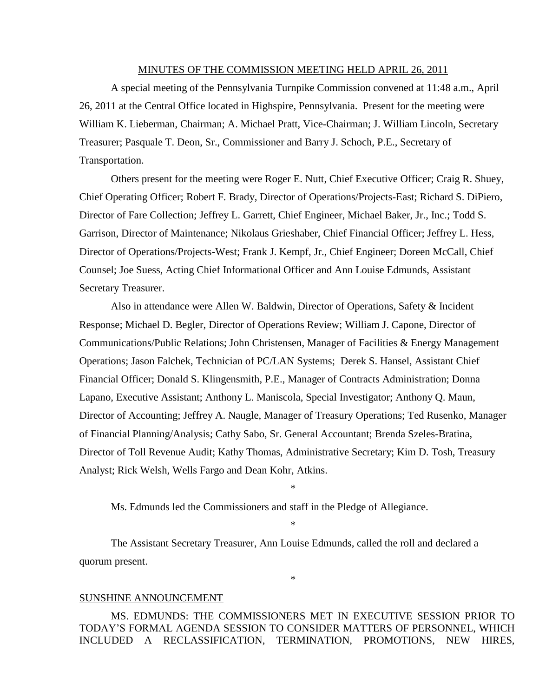#### MINUTES OF THE COMMISSION MEETING HELD APRIL 26, 2011

A special meeting of the Pennsylvania Turnpike Commission convened at 11:48 a.m., April 26, 2011 at the Central Office located in Highspire, Pennsylvania. Present for the meeting were William K. Lieberman, Chairman; A. Michael Pratt, Vice-Chairman; J. William Lincoln, Secretary Treasurer; Pasquale T. Deon, Sr., Commissioner and Barry J. Schoch, P.E., Secretary of Transportation.

Others present for the meeting were Roger E. Nutt, Chief Executive Officer; Craig R. Shuey, Chief Operating Officer; Robert F. Brady, Director of Operations/Projects-East; Richard S. DiPiero, Director of Fare Collection; Jeffrey L. Garrett, Chief Engineer, Michael Baker, Jr., Inc.; Todd S. Garrison, Director of Maintenance; Nikolaus Grieshaber, Chief Financial Officer; Jeffrey L. Hess, Director of Operations/Projects-West; Frank J. Kempf, Jr., Chief Engineer; Doreen McCall, Chief Counsel; Joe Suess, Acting Chief Informational Officer and Ann Louise Edmunds, Assistant Secretary Treasurer.

Also in attendance were Allen W. Baldwin, Director of Operations, Safety & Incident Response; Michael D. Begler, Director of Operations Review; William J. Capone, Director of Communications/Public Relations; John Christensen, Manager of Facilities & Energy Management Operations; Jason Falchek, Technician of PC/LAN Systems; Derek S. Hansel, Assistant Chief Financial Officer; Donald S. Klingensmith, P.E., Manager of Contracts Administration; Donna Lapano, Executive Assistant; Anthony L. Maniscola, Special Investigator; Anthony Q. Maun, Director of Accounting; Jeffrey A. Naugle, Manager of Treasury Operations; Ted Rusenko, Manager of Financial Planning/Analysis; Cathy Sabo, Sr. General Accountant; Brenda Szeles-Bratina, Director of Toll Revenue Audit; Kathy Thomas, Administrative Secretary; Kim D. Tosh, Treasury Analyst; Rick Welsh, Wells Fargo and Dean Kohr, Atkins.

Ms. Edmunds led the Commissioners and staff in the Pledge of Allegiance.

\*

\*

\*

The Assistant Secretary Treasurer, Ann Louise Edmunds, called the roll and declared a quorum present.

#### SUNSHINE ANNOUNCEMENT

MS. EDMUNDS: THE COMMISSIONERS MET IN EXECUTIVE SESSION PRIOR TO TODAY'S FORMAL AGENDA SESSION TO CONSIDER MATTERS OF PERSONNEL, WHICH INCLUDED A RECLASSIFICATION, TERMINATION, PROMOTIONS, NEW HIRES,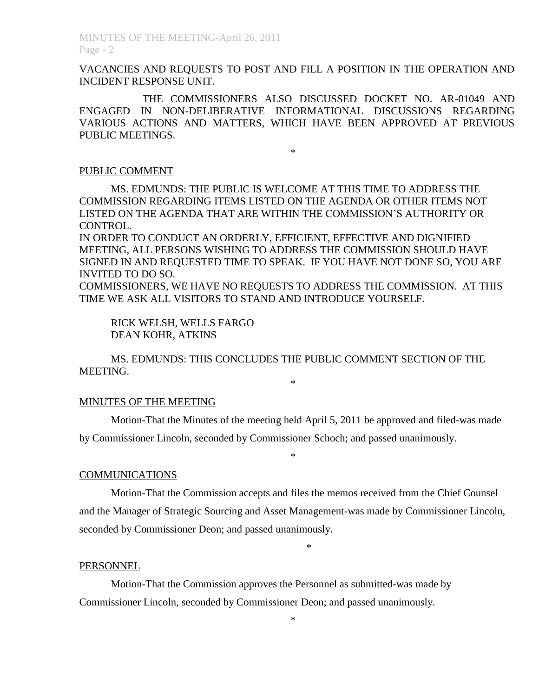VACANCIES AND REQUESTS TO POST AND FILL A POSITION IN THE OPERATION AND INCIDENT RESPONSE UNIT.

THE COMMISSIONERS ALSO DISCUSSED DOCKET NO. AR-01049 AND ENGAGED IN NON-DELIBERATIVE INFORMATIONAL DISCUSSIONS REGARDING VARIOUS ACTIONS AND MATTERS, WHICH HAVE BEEN APPROVED AT PREVIOUS PUBLIC MEETINGS.

\*

#### PUBLIC COMMENT

MS. EDMUNDS: THE PUBLIC IS WELCOME AT THIS TIME TO ADDRESS THE COMMISSION REGARDING ITEMS LISTED ON THE AGENDA OR OTHER ITEMS NOT LISTED ON THE AGENDA THAT ARE WITHIN THE COMMISSION'S AUTHORITY OR CONTROL.

IN ORDER TO CONDUCT AN ORDERLY, EFFICIENT, EFFECTIVE AND DIGNIFIED MEETING, ALL PERSONS WISHING TO ADDRESS THE COMMISSION SHOULD HAVE SIGNED IN AND REQUESTED TIME TO SPEAK. IF YOU HAVE NOT DONE SO, YOU ARE INVITED TO DO SO.

COMMISSIONERS, WE HAVE NO REQUESTS TO ADDRESS THE COMMISSION. AT THIS TIME WE ASK ALL VISITORS TO STAND AND INTRODUCE YOURSELF.

RICK WELSH, WELLS FARGO DEAN KOHR, ATKINS

MS. EDMUNDS: THIS CONCLUDES THE PUBLIC COMMENT SECTION OF THE MEETING.

\*

#### MINUTES OF THE MEETING

Motion-That the Minutes of the meeting held April 5, 2011 be approved and filed-was made by Commissioner Lincoln, seconded by Commissioner Schoch; and passed unanimously.

\*

#### COMMUNICATIONS

Motion-That the Commission accepts and files the memos received from the Chief Counsel and the Manager of Strategic Sourcing and Asset Management-was made by Commissioner Lincoln, seconded by Commissioner Deon; and passed unanimously.

\*

### PERSONNEL

Motion-That the Commission approves the Personnel as submitted-was made by Commissioner Lincoln, seconded by Commissioner Deon; and passed unanimously.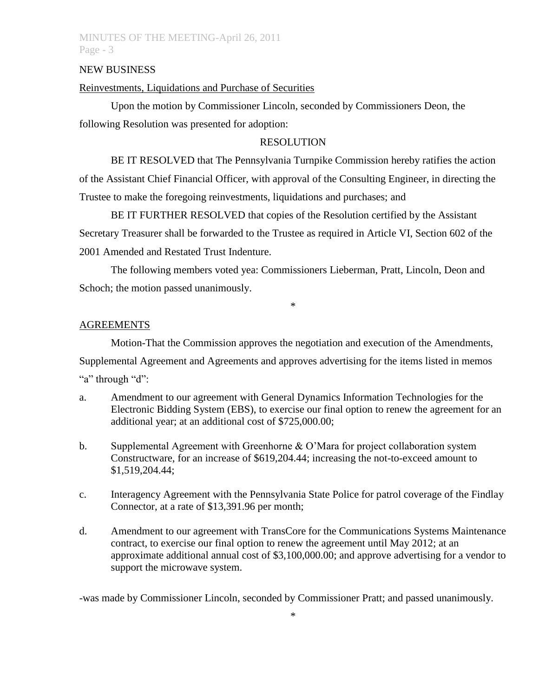#### NEW BUSINESS

### Reinvestments, Liquidations and Purchase of Securities

Upon the motion by Commissioner Lincoln, seconded by Commissioners Deon, the following Resolution was presented for adoption:

#### RESOLUTION

BE IT RESOLVED that The Pennsylvania Turnpike Commission hereby ratifies the action of the Assistant Chief Financial Officer, with approval of the Consulting Engineer, in directing the Trustee to make the foregoing reinvestments, liquidations and purchases; and

BE IT FURTHER RESOLVED that copies of the Resolution certified by the Assistant Secretary Treasurer shall be forwarded to the Trustee as required in Article VI, Section 602 of the 2001 Amended and Restated Trust Indenture.

The following members voted yea: Commissioners Lieberman, Pratt, Lincoln, Deon and Schoch; the motion passed unanimously.

\*

#### AGREEMENTS

Motion-That the Commission approves the negotiation and execution of the Amendments, Supplemental Agreement and Agreements and approves advertising for the items listed in memos "a" through "d":

- a. Amendment to our agreement with General Dynamics Information Technologies for the Electronic Bidding System (EBS), to exercise our final option to renew the agreement for an additional year; at an additional cost of \$725,000.00;
- b. Supplemental Agreement with Greenhorne & O'Mara for project collaboration system Constructware, for an increase of \$619,204.44; increasing the not-to-exceed amount to \$1,519,204.44;
- c. Interagency Agreement with the Pennsylvania State Police for patrol coverage of the Findlay Connector, at a rate of \$13,391.96 per month;
- d. Amendment to our agreement with TransCore for the Communications Systems Maintenance contract, to exercise our final option to renew the agreement until May 2012; at an approximate additional annual cost of \$3,100,000.00; and approve advertising for a vendor to support the microwave system.

-was made by Commissioner Lincoln, seconded by Commissioner Pratt; and passed unanimously.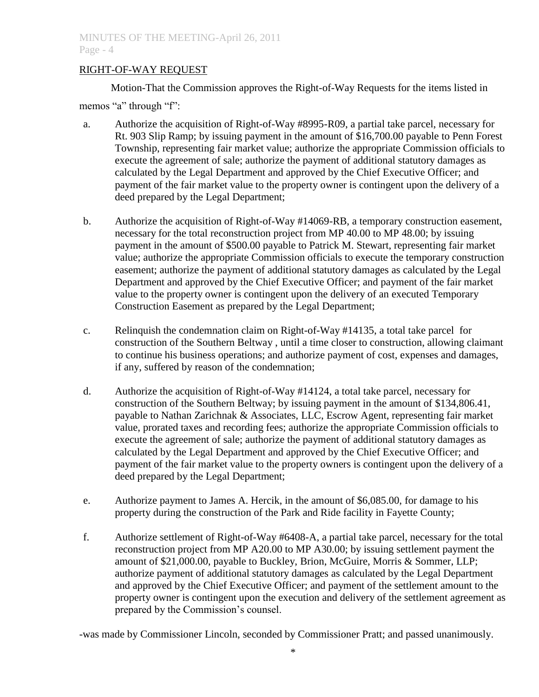### RIGHT-OF-WAY REQUEST

Motion-That the Commission approves the Right-of-Way Requests for the items listed in

memos "a" through "f":

- a. Authorize the acquisition of Right-of-Way #8995-R09, a partial take parcel, necessary for Rt. 903 Slip Ramp; by issuing payment in the amount of \$16,700.00 payable to Penn Forest Township, representing fair market value; authorize the appropriate Commission officials to execute the agreement of sale; authorize the payment of additional statutory damages as calculated by the Legal Department and approved by the Chief Executive Officer; and payment of the fair market value to the property owner is contingent upon the delivery of a deed prepared by the Legal Department;
- b. Authorize the acquisition of Right-of-Way #14069-RB, a temporary construction easement, necessary for the total reconstruction project from MP 40.00 to MP 48.00; by issuing payment in the amount of \$500.00 payable to Patrick M. Stewart, representing fair market value; authorize the appropriate Commission officials to execute the temporary construction easement; authorize the payment of additional statutory damages as calculated by the Legal Department and approved by the Chief Executive Officer; and payment of the fair market value to the property owner is contingent upon the delivery of an executed Temporary Construction Easement as prepared by the Legal Department;
- c. Relinquish the condemnation claim on Right-of-Way #14135, a total take parcel for construction of the Southern Beltway , until a time closer to construction, allowing claimant to continue his business operations; and authorize payment of cost, expenses and damages, if any, suffered by reason of the condemnation;
- d. Authorize the acquisition of Right-of-Way #14124, a total take parcel, necessary for construction of the Southern Beltway; by issuing payment in the amount of \$134,806.41, payable to Nathan Zarichnak & Associates, LLC, Escrow Agent, representing fair market value, prorated taxes and recording fees; authorize the appropriate Commission officials to execute the agreement of sale; authorize the payment of additional statutory damages as calculated by the Legal Department and approved by the Chief Executive Officer; and payment of the fair market value to the property owners is contingent upon the delivery of a deed prepared by the Legal Department;
- e. Authorize payment to James A. Hercik, in the amount of \$6,085.00, for damage to his property during the construction of the Park and Ride facility in Fayette County;
- f. Authorize settlement of Right-of-Way #6408-A, a partial take parcel, necessary for the total reconstruction project from MP A20.00 to MP A30.00; by issuing settlement payment the amount of \$21,000.00, payable to Buckley, Brion, McGuire, Morris & Sommer, LLP; authorize payment of additional statutory damages as calculated by the Legal Department and approved by the Chief Executive Officer; and payment of the settlement amount to the property owner is contingent upon the execution and delivery of the settlement agreement as prepared by the Commission's counsel.

-was made by Commissioner Lincoln, seconded by Commissioner Pratt; and passed unanimously.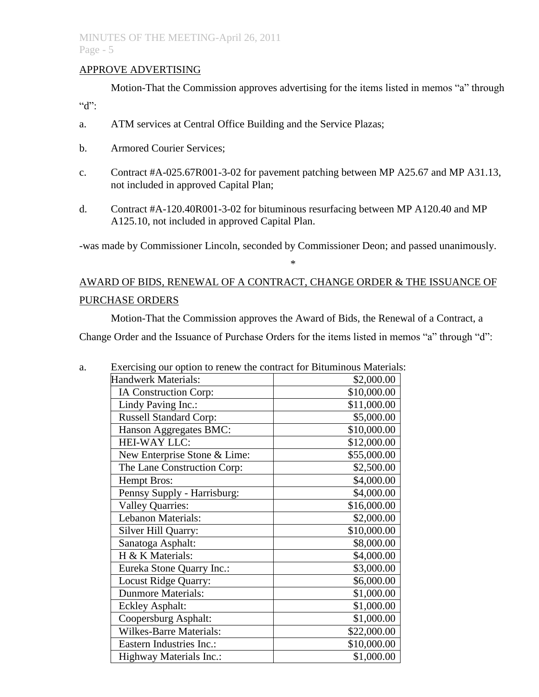### APPROVE ADVERTISING

Motion-That the Commission approves advertising for the items listed in memos "a" through "d":

- a. ATM services at Central Office Building and the Service Plazas;
- b. Armored Courier Services;
- c. Contract #A-025.67R001-3-02 for pavement patching between MP A25.67 and MP A31.13, not included in approved Capital Plan;
- d. Contract #A-120.40R001-3-02 for bituminous resurfacing between MP A120.40 and MP A125.10, not included in approved Capital Plan.

-was made by Commissioner Lincoln, seconded by Commissioner Deon; and passed unanimously.

\*

# AWARD OF BIDS, RENEWAL OF A CONTRACT, CHANGE ORDER & THE ISSUANCE OF PURCHASE ORDERS

Motion-That the Commission approves the Award of Bids, the Renewal of a Contract, a

Change Order and the Issuance of Purchase Orders for the items listed in memos "a" through "d":

| a. | Exercising our option to renew the contract for Bituminous Materials: |             |
|----|-----------------------------------------------------------------------|-------------|
|    | <b>Handwerk Materials:</b>                                            | \$2,000.00  |
|    | IA Construction Corp:                                                 | \$10,000.00 |
|    | Lindy Paving Inc.:                                                    | \$11,000.00 |
|    | <b>Russell Standard Corp:</b>                                         | \$5,000.00  |
|    | Hanson Aggregates BMC:                                                | \$10,000.00 |
|    | HEI-WAY LLC:                                                          | \$12,000.00 |
|    | New Enterprise Stone & Lime:                                          | \$55,000.00 |
|    | The Lane Construction Corp:                                           | \$2,500.00  |
|    | <b>Hempt Bros:</b>                                                    | \$4,000.00  |
|    | Pennsy Supply - Harrisburg:                                           | \$4,000.00  |
|    | <b>Valley Quarries:</b>                                               | \$16,000.00 |
|    | Lebanon Materials:                                                    | \$2,000.00  |
|    | Silver Hill Quarry:                                                   | \$10,000.00 |
|    | Sanatoga Asphalt:                                                     | \$8,000.00  |
|    | H & K Materials:                                                      | \$4,000.00  |
|    | Eureka Stone Quarry Inc.:                                             | \$3,000.00  |
|    | <b>Locust Ridge Quarry:</b>                                           | \$6,000.00  |
|    | <b>Dunmore Materials:</b>                                             | \$1,000.00  |
|    | <b>Eckley Asphalt:</b>                                                | \$1,000.00  |
|    | Coopersburg Asphalt:                                                  | \$1,000.00  |
|    | <b>Wilkes-Barre Materials:</b>                                        | \$22,000.00 |
|    | Eastern Industries Inc.:                                              | \$10,000.00 |
|    | Highway Materials Inc.:                                               | \$1,000.00  |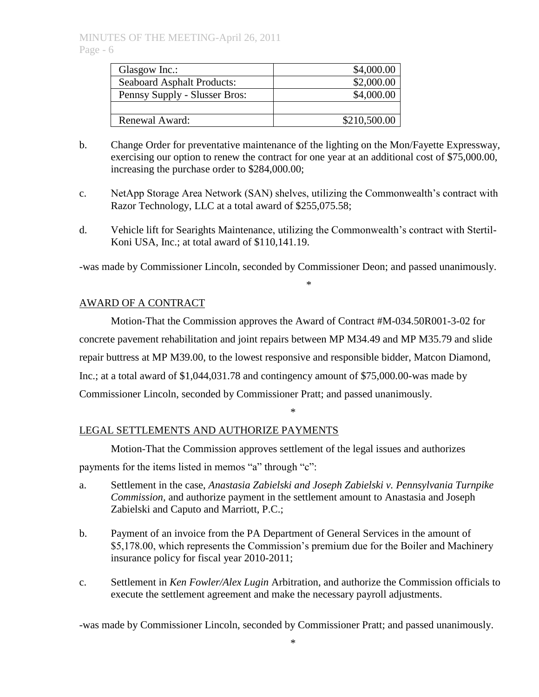| Glasgow Inc.:                     | \$4,000.00   |
|-----------------------------------|--------------|
| <b>Seaboard Asphalt Products:</b> | \$2,000.00   |
| Pennsy Supply - Slusser Bros:     | \$4,000.00   |
|                                   |              |
| Renewal Award:                    | \$210,500.00 |

- b. Change Order for preventative maintenance of the lighting on the Mon/Fayette Expressway, exercising our option to renew the contract for one year at an additional cost of \$75,000.00, increasing the purchase order to \$284,000.00;
- c. NetApp Storage Area Network (SAN) shelves, utilizing the Commonwealth's contract with Razor Technology, LLC at a total award of \$255,075.58;
- d. Vehicle lift for Searights Maintenance, utilizing the Commonwealth's contract with Stertil-Koni USA, Inc.; at total award of \$110,141.19.

-was made by Commissioner Lincoln, seconded by Commissioner Deon; and passed unanimously.

\*

### AWARD OF A CONTRACT

Motion-That the Commission approves the Award of Contract #M-034.50R001-3-02 for concrete pavement rehabilitation and joint repairs between MP M34.49 and MP M35.79 and slide repair buttress at MP M39.00, to the lowest responsive and responsible bidder, Matcon Diamond, Inc.; at a total award of \$1,044,031.78 and contingency amount of \$75,000.00-was made by Commissioner Lincoln, seconded by Commissioner Pratt; and passed unanimously.

\*

### LEGAL SETTLEMENTS AND AUTHORIZE PAYMENTS

Motion-That the Commission approves settlement of the legal issues and authorizes payments for the items listed in memos "a" through "c":

- a. Settlement in the case, *Anastasia Zabielski and Joseph Zabielski v. Pennsylvania Turnpike Commission,* and authorize payment in the settlement amount to Anastasia and Joseph Zabielski and Caputo and Marriott, P.C.;
- b. Payment of an invoice from the PA Department of General Services in the amount of \$5,178.00, which represents the Commission's premium due for the Boiler and Machinery insurance policy for fiscal year 2010-2011;
- c. Settlement in *Ken Fowler/Alex Lugin* Arbitration, and authorize the Commission officials to execute the settlement agreement and make the necessary payroll adjustments.

-was made by Commissioner Lincoln, seconded by Commissioner Pratt; and passed unanimously.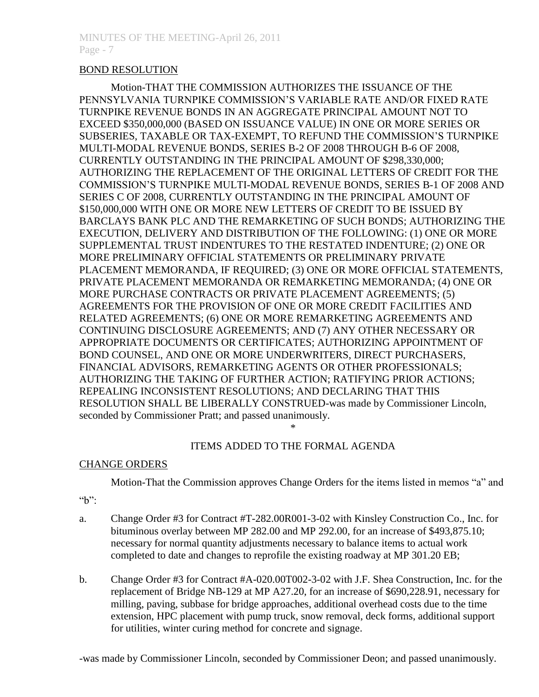### BOND RESOLUTION

Motion-THAT THE COMMISSION AUTHORIZES THE ISSUANCE OF THE PENNSYLVANIA TURNPIKE COMMISSION'S VARIABLE RATE AND/OR FIXED RATE TURNPIKE REVENUE BONDS IN AN AGGREGATE PRINCIPAL AMOUNT NOT TO EXCEED \$350,000,000 (BASED ON ISSUANCE VALUE) IN ONE OR MORE SERIES OR SUBSERIES, TAXABLE OR TAX-EXEMPT, TO REFUND THE COMMISSION'S TURNPIKE MULTI-MODAL REVENUE BONDS, SERIES B-2 OF 2008 THROUGH B-6 OF 2008, CURRENTLY OUTSTANDING IN THE PRINCIPAL AMOUNT OF \$298,330,000; AUTHORIZING THE REPLACEMENT OF THE ORIGINAL LETTERS OF CREDIT FOR THE COMMISSION'S TURNPIKE MULTI-MODAL REVENUE BONDS, SERIES B-1 OF 2008 AND SERIES C OF 2008, CURRENTLY OUTSTANDING IN THE PRINCIPAL AMOUNT OF \$150,000,000 WITH ONE OR MORE NEW LETTERS OF CREDIT TO BE ISSUED BY BARCLAYS BANK PLC AND THE REMARKETING OF SUCH BONDS; AUTHORIZING THE EXECUTION, DELIVERY AND DISTRIBUTION OF THE FOLLOWING: (1) ONE OR MORE SUPPLEMENTAL TRUST INDENTURES TO THE RESTATED INDENTURE; (2) ONE OR MORE PRELIMINARY OFFICIAL STATEMENTS OR PRELIMINARY PRIVATE PLACEMENT MEMORANDA, IF REQUIRED; (3) ONE OR MORE OFFICIAL STATEMENTS, PRIVATE PLACEMENT MEMORANDA OR REMARKETING MEMORANDA; (4) ONE OR MORE PURCHASE CONTRACTS OR PRIVATE PLACEMENT AGREEMENTS; (5) AGREEMENTS FOR THE PROVISION OF ONE OR MORE CREDIT FACILITIES AND RELATED AGREEMENTS; (6) ONE OR MORE REMARKETING AGREEMENTS AND CONTINUING DISCLOSURE AGREEMENTS; AND (7) ANY OTHER NECESSARY OR APPROPRIATE DOCUMENTS OR CERTIFICATES; AUTHORIZING APPOINTMENT OF BOND COUNSEL, AND ONE OR MORE UNDERWRITERS, DIRECT PURCHASERS, FINANCIAL ADVISORS, REMARKETING AGENTS OR OTHER PROFESSIONALS; AUTHORIZING THE TAKING OF FURTHER ACTION; RATIFYING PRIOR ACTIONS; REPEALING INCONSISTENT RESOLUTIONS; AND DECLARING THAT THIS RESOLUTION SHALL BE LIBERALLY CONSTRUED-was made by Commissioner Lincoln, seconded by Commissioner Pratt; and passed unanimously.

### ITEMS ADDED TO THE FORMAL AGENDA

\*

### CHANGE ORDERS

Motion-That the Commission approves Change Orders for the items listed in memos "a" and

 $~\lq\lq\lq\lq\lq\lq\lq$ 

- a. Change Order #3 for Contract #T-282.00R001-3-02 with Kinsley Construction Co., Inc. for bituminous overlay between MP 282.00 and MP 292.00, for an increase of \$493,875.10; necessary for normal quantity adjustments necessary to balance items to actual work completed to date and changes to reprofile the existing roadway at MP 301.20 EB;
- b. Change Order #3 for Contract #A-020.00T002-3-02 with J.F. Shea Construction, Inc. for the replacement of Bridge NB-129 at MP A27.20, for an increase of \$690,228.91, necessary for milling, paving, subbase for bridge approaches, additional overhead costs due to the time extension, HPC placement with pump truck, snow removal, deck forms, additional support for utilities, winter curing method for concrete and signage.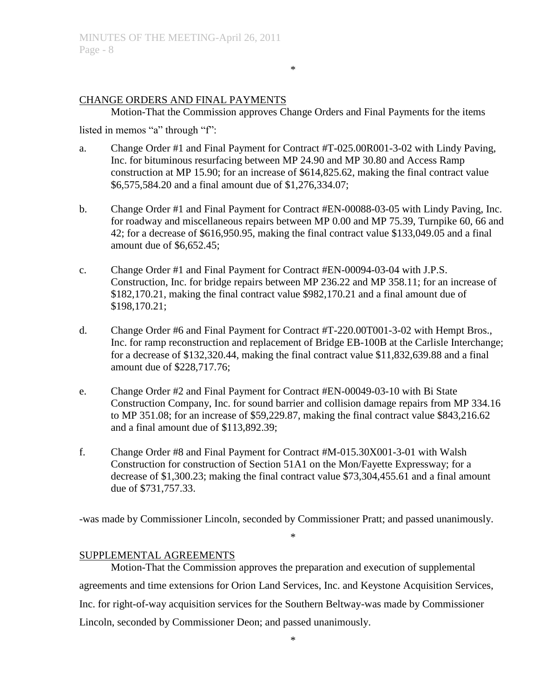### CHANGE ORDERS AND FINAL PAYMENTS

Motion-That the Commission approves Change Orders and Final Payments for the items

\*

listed in memos "a" through "f":

- a. Change Order #1 and Final Payment for Contract #T-025.00R001-3-02 with Lindy Paving, Inc. for bituminous resurfacing between MP 24.90 and MP 30.80 and Access Ramp construction at MP 15.90; for an increase of \$614,825.62, making the final contract value \$6,575,584.20 and a final amount due of \$1,276,334.07;
- b. Change Order #1 and Final Payment for Contract #EN-00088-03-05 with Lindy Paving, Inc. for roadway and miscellaneous repairs between MP 0.00 and MP 75.39, Turnpike 60, 66 and 42; for a decrease of \$616,950.95, making the final contract value \$133,049.05 and a final amount due of \$6,652.45;
- c. Change Order #1 and Final Payment for Contract #EN-00094-03-04 with J.P.S. Construction, Inc. for bridge repairs between MP 236.22 and MP 358.11; for an increase of \$182,170.21, making the final contract value \$982,170.21 and a final amount due of \$198,170.21;
- d. Change Order #6 and Final Payment for Contract #T-220.00T001-3-02 with Hempt Bros., Inc. for ramp reconstruction and replacement of Bridge EB-100B at the Carlisle Interchange; for a decrease of \$132,320.44, making the final contract value \$11,832,639.88 and a final amount due of \$228,717.76;
- e. Change Order #2 and Final Payment for Contract #EN-00049-03-10 with Bi State Construction Company, Inc. for sound barrier and collision damage repairs from MP 334.16 to MP 351.08; for an increase of \$59,229.87, making the final contract value \$843,216.62 and a final amount due of \$113,892.39;
- f. Change Order #8 and Final Payment for Contract #M-015.30X001-3-01 with Walsh Construction for construction of Section 51A1 on the Mon/Fayette Expressway; for a decrease of \$1,300.23; making the final contract value \$73,304,455.61 and a final amount due of \$731,757.33.

-was made by Commissioner Lincoln, seconded by Commissioner Pratt; and passed unanimously.

\*

### SUPPLEMENTAL AGREEMENTS

Motion-That the Commission approves the preparation and execution of supplemental agreements and time extensions for Orion Land Services, Inc. and Keystone Acquisition Services, Inc. for right-of-way acquisition services for the Southern Beltway-was made by Commissioner Lincoln, seconded by Commissioner Deon; and passed unanimously.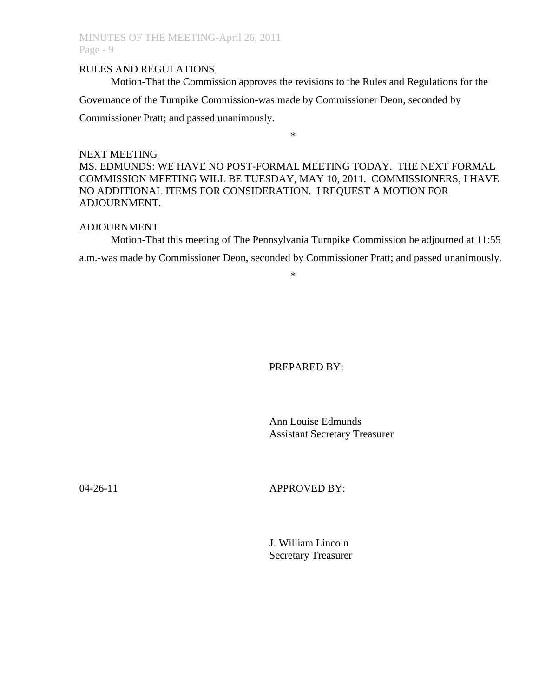#### RULES AND REGULATIONS

Motion-That the Commission approves the revisions to the Rules and Regulations for the Governance of the Turnpike Commission-was made by Commissioner Deon, seconded by

Commissioner Pratt; and passed unanimously.

#### NEXT MEETING

MS. EDMUNDS: WE HAVE NO POST-FORMAL MEETING TODAY. THE NEXT FORMAL COMMISSION MEETING WILL BE TUESDAY, MAY 10, 2011. COMMISSIONERS, I HAVE NO ADDITIONAL ITEMS FOR CONSIDERATION. I REQUEST A MOTION FOR ADJOURNMENT.

\*

### ADJOURNMENT

Motion-That this meeting of The Pennsylvania Turnpike Commission be adjourned at 11:55 a.m.-was made by Commissioner Deon, seconded by Commissioner Pratt; and passed unanimously.

\*

### PREPARED BY:

Ann Louise Edmunds Assistant Secretary Treasurer

### 04-26-11 **APPROVED BY:**

J. William Lincoln Secretary Treasurer